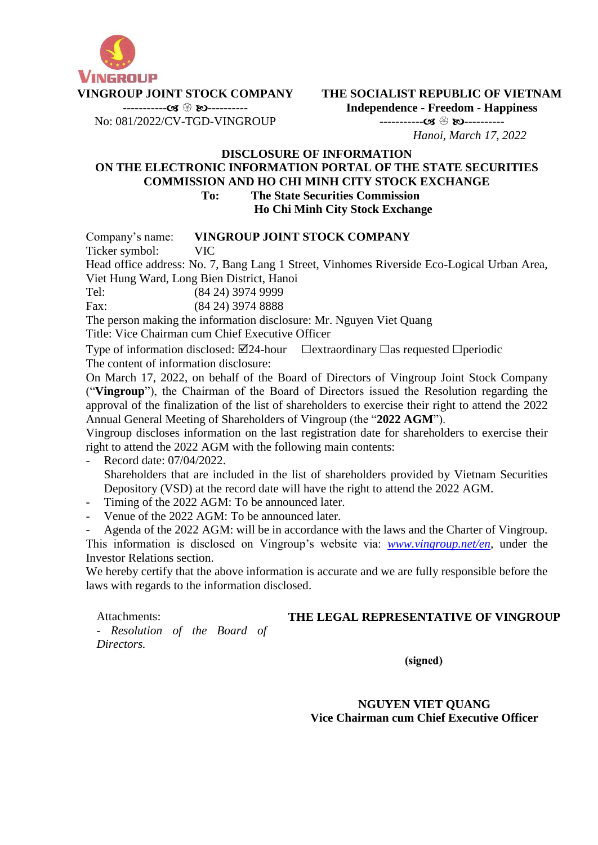

**THE SOCIALIST REPUBLIC OF VIETNAM Independence - Freedom - Happiness**

No: 081/2022/CV-TGD-VINGROUP

----------- ---------- *Hanoi, March 17, 2022*

# **DISCLOSURE OF INFORMATION ON THE ELECTRONIC INFORMATION PORTAL OF THE STATE SECURITIES COMMISSION AND HO CHI MINH CITY STOCK EXCHANGE To: The State Securities Commission**

**Ho Chi Minh City Stock Exchange**

Company's name: **VINGROUP JOINT STOCK COMPANY**

Ticker symbol: VIC

Head office address: No. 7, Bang Lang 1 Street, Vinhomes Riverside Eco-Logical Urban Area, Viet Hung Ward, Long Bien District, Hanoi

Tel: (84 24) 3974 9999

Fax: (84 24) 3974 8888

The person making the information disclosure: Mr. Nguyen Viet Quang

Title: Vice Chairman cum Chief Executive Officer

Type of information disclosed:  $\boxtimes$ 24-hour  $\Box$ extraordinary  $\Box$ as requested  $\Box$ periodic The content of information disclosure:

On March 17, 2022, on behalf of the Board of Directors of Vingroup Joint Stock Company ("**Vingroup**"), the Chairman of the Board of Directors issued the Resolution regarding the approval of the finalization of the list of shareholders to exercise their right to attend the 2022 Annual General Meeting of Shareholders of Vingroup (the "**2022 AGM**").

Vingroup discloses information on the last registration date for shareholders to exercise their right to attend the 2022 AGM with the following main contents:

Record date: 07/04/2022.

Shareholders that are included in the list of shareholders provided by Vietnam Securities Depository (VSD) at the record date will have the right to attend the 2022 AGM.

- Timing of the 2022 AGM: To be announced later.
- Venue of the 2022 AGM: To be announced later.

Agenda of the 2022 AGM: will be in accordance with the laws and the Charter of Vingroup. This information is disclosed on Vingroup's website via: *[www.vingroup.net/en,](http://www.vingroup.net/en)* under the Investor Relations section.

We hereby certify that the above information is accurate and we are fully responsible before the laws with regards to the information disclosed.

Attachments:

**THE LEGAL REPRESENTATIVE OF VINGROUP**

*- Resolution of the Board of Directors.*

(signed)

**NGUYEN VIET QUANG Vice Chairman cum Chief Executive Officer**